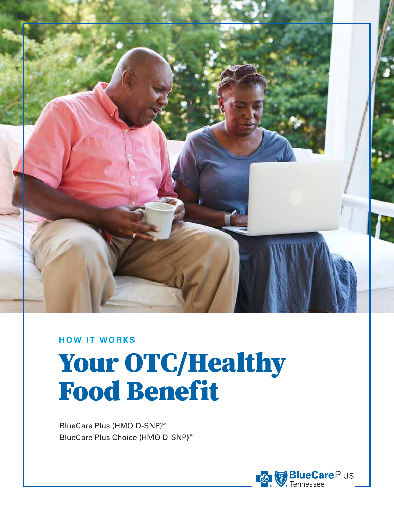

#### **HOW IT WORKS**

# Your OTC/Healthy Food Benefit

BlueCare Plus (HMO D-SNP)<sup>SM</sup> BlueCare Plus Choice (HMO D-SNP)<sup>5M</sup>

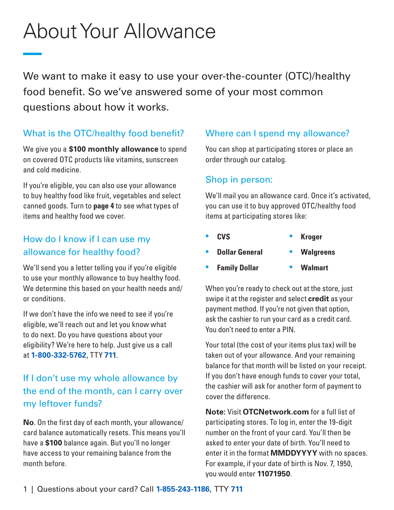# About Your Allowance

We want to make it easy to use your over-the-counter (OTC)/healthy food benefit. So we've answered some of your most common questions about how it works.

#### What is the OTC/healthy food benefit?

We give you a **\$100 monthly allowance** to spend on covered OTC products like vitamins, sunscreen and cold medicine.

If you're eligible, you can also use your allowance to buy healthy food like fruit, vegetables and select canned goods. Turn to **page 4** to see what types of items and healthy food we cover.

#### How do I know if I can use my allowance for healthy food?

We'll send you a letter telling you if you're eligible to use your monthly allowance to buy healthy food. We determine this based on your health needs and/ or conditions.

If we don't have the info we need to see if you're eligible, we'll reach out and let you know what to do next. Do you have questions about your eligibility? We're here to help. Just give us a call at **1-800-332-5762**, TTY **711**.

### If I don't use my whole allowance by the end of the month, can I carry over my leftover funds?

**No**. On the first day of each month, your allowance/ card balance automatically resets. This means you'll have a **\$100** balance again. But you'll no longer have access to your remaining balance from the month before.

#### Where can I spend my allowance?

You can shop at participating stores or place an order through our catalog.

#### Shop in person:

We'll mail you an allowance card. Once it's activated, you can use it to buy approved OTC/healthy food items at participating stores like:

- **CVS Kroger**
- **Dollar General Walgreens**
- **Family Dollar Walmart**

When you're ready to check out at the store, just swipe it at the register and select **credit** as your payment method. If you're not given that option, ask the cashier to run your card as a credit card. You don't need to enter a PIN.

Your total (the cost of your items plus tax) will be taken out of your allowance. And your remaining balance for that month will be listed on your receipt. If you don't have enough funds to cover your total, the cashier will ask for another form of payment to cover the difference.

**Note:** Visit **[OTCNetwork.com](https://OTCNetwork.com)** for a full list of participating stores. To log in, enter the 19-digit number on the front of your card. You'll then be asked to enter your date of birth. You'll need to enter it in the format **MMDDYYYY** with no spaces. For example, if your date of birth is Nov. 7, 1950, you would enter **11071950**.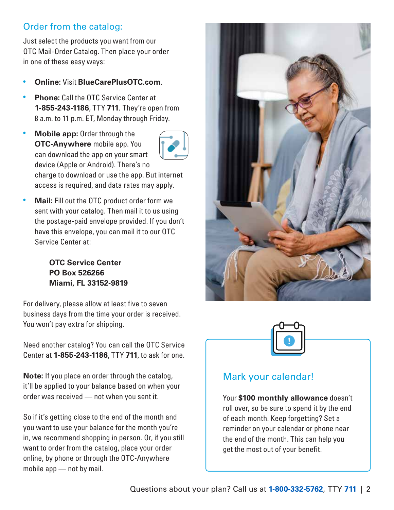#### Order from the catalog:

Just select the products you want from our OTC Mail-Order Catalog. Then place your order in one of these easy ways:

- **Online:** Visit **[BlueCarePlusOTC.com](https://BlueCarePlusOTC.com)**.
- **Phone:** Call the OTC Service Center at **1-855-243-1186**, TTY **711**. They're open from 8 a.m. to 11 p.m. ET, Monday through Friday.
- **Mobile app:** Order through the **OTC-Anywhere** mobile app. You can download the app on your smart device (Apple or Android). There's no



charge to download or use the app. But internet access is required, and data rates may apply.

• **Mail:** Fill out the OTC product order form we sent with your catalog. Then mail it to us using the postage-paid envelope provided. If you don't have this envelope, you can mail it to our OTC Service Center at:

> **OTC Service Center PO Box 526266 Miami, FL 33152-9819**

For delivery, please allow at least five to seven business days from the time your order is received. You won't pay extra for shipping.

Need another catalog? You can call the OTC Service Center at **1-855-243-1186**, TTY **711**, to ask for one.

**Note:** If you place an order through the catalog, it'll be applied to your balance based on when your order was received — not when you sent it.

So if it's getting close to the end of the month and you want to use your balance for the month you're in, we recommend shopping in person. Or, if you still want to order from the catalog, place your order online, by phone or through the OTC-Anywhere mobile app — not by mail.





#### Mark your calendar!

Your **\$100 monthly allowance** doesn't roll over, so be sure to spend it by the end of each month. Keep forgetting? Set a reminder on your calendar or phone near the end of the month. This can help you get the most out of your benefit.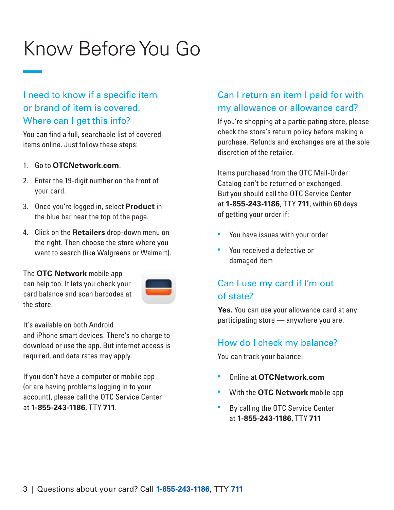## Know Before You Go

#### I need to know if a specific item or brand of item is covered. Where can I get this info?

You can find a full, searchable list of covered items online. Just follow these steps:

- 1. Go to **[OTCNetwork.com](https://OTCNetwork.com)**.
- 2. Enter the 19-digit number on the front of your card.
- 3. Once you're logged in, select **Product** in the blue bar near the top of the page.
- 4. Click on the **Retailers** drop-down menu on the right. Then choose the store where you want to search (like Walgreens or Walmart).

The **OTC Network** mobile app can help too. It lets you check your

card balance and scan barcodes at



It's available on both Android

the store.

and iPhone smart devices. There's no charge to download or use the app. But internet access is required, and data rates may apply.

If you don't have a computer or mobile app (or are having problems logging in to your account), please call the OTC Service Center at **1-855-243-1186**, TTY **711**.

#### Can I return an item I paid for with my allowance or allowance card?

If you're shopping at a participating store, please check the store's return policy before making a purchase. Refunds and exchanges are at the sole discretion of the retailer.

Items purchased from the OTC Mail-Order Catalog can't be returned or exchanged. But you should call the OTC Service Center at **1-855-243-1186**, TTY **711**, within 60 days of getting your order if:

- You have issues with your order
- You received a defective or damaged item

#### Can I use my card if I'm out of state?

**Yes.** You can use your allowance card at any participating store — anywhere you are.

#### How do I check my balance?

You can track your balance:

- Online at **[OTCNetwork.com](https://OTCNetwork.com)**
- With the **OTC Network** mobile app
- By calling the OTC Service Center at **1-855-243-1186**, TTY **711**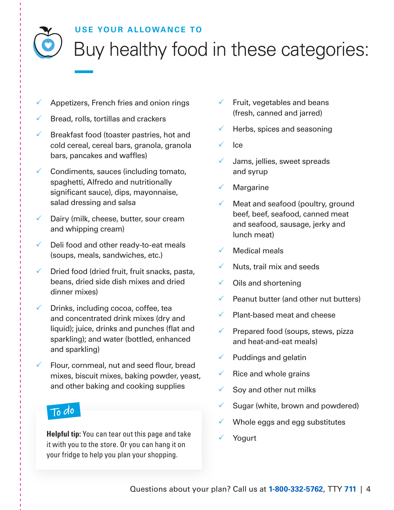#### **USE YOUR ALLOWANCE TO**

Buy healthy food in these categories:

- $\sqrt{ }$  Appetizers, French fries and onion rings
- $\sqrt{\ }$  Bread, rolls, tortillas and crackers
- $\sqrt{ }$  Breakfast food (toaster pastries, hot and cold cereal, cereal bars, granola, granola bars, pancakes and waffles)
- $\checkmark$  Condiments, sauces (including tomato, spaghetti, Alfredo and nutritionally significant sauce), dips, mayonnaise, salad dressing and salsa
- $\sqrt{ }$  Dairy (milk, cheese, butter, sour cream and whipping cream)
- $\sqrt{ }$  Deli food and other ready-to-eat meals (soups, meals, sandwiches, etc.)
- $\sqrt{ }$  Dried food (dried fruit, fruit snacks, pasta, beans, dried side dish mixes and dried dinner mixes)
- $\sqrt{ }$  Drinks, including cocoa, coffee, tea and concentrated drink mixes (dry and liquid); juice, drinks and punches (flat and sparkling); and water (bottled, enhanced and sparkling)
- $\checkmark$  Flour, cornmeal, nut and seed flour, bread mixes, biscuit mixes, baking powder, yeast, and other baking and cooking supplies

### To do

**Helpful tip:** You can tear out this page and take it with you to the store. Or you can hang it on your fridge to help you plan your shopping.

- $\checkmark$  Fruit, vegetables and beans (fresh, canned and jarred)
- Herbs, spices and seasoning
- **Ice**
- Jams, jellies, sweet spreads and syrup
- $\checkmark$  Margarine
- $\checkmark$  Meat and seafood (poultry, ground beef, beef, seafood, canned meat and seafood, sausage, jerky and lunch meat)
- Medical meals
- $\checkmark$  Nuts, trail mix and seeds
- $\checkmark$  Oils and shortening
- $\sqrt{ }$  Peanut butter (and other nut butters)
- Plant-based meat and cheese
- $\sqrt{ }$  Prepared food (soups, stews, pizza and heat-and-eat meals)
- $\checkmark$  Puddings and gelatin
- $\checkmark$  Rice and whole grains
- $\checkmark$  Soy and other nut milks
- Sugar (white, brown and powdered)
- $\sqrt{ }$  Whole eggs and egg substitutes
- **Yogurt**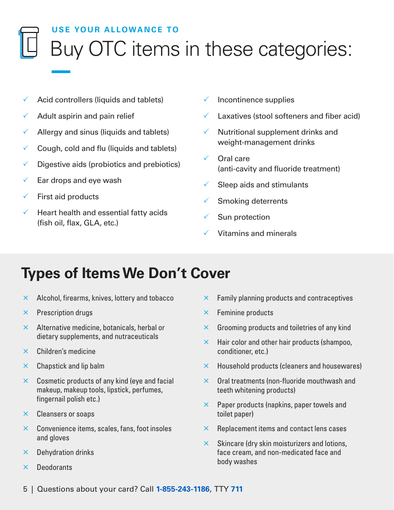### **USE YOUR ALLOWANCE TO**  Buy OTC items in these categories:

- $\checkmark$  Acid controllers (liquids and tablets)
- $\sqrt{ }$  Adult aspirin and pain relief
- $\checkmark$  Allergy and sinus (liquids and tablets)
- $\checkmark$  Cough, cold and flu (liquids and tablets)
- $\sqrt{ }$  Digestive aids (probiotics and prebiotics)
- $\checkmark$  Ear drops and eye wash
- $\checkmark$  First aid products
- $\sqrt{ }$  Heart health and essential fatty acids (fish oil, flax, GLA, etc.)
- $\checkmark$  Incontinence supplies
- Laxatives (stool softeners and fiber acid)
- $\checkmark$  Nutritional supplement drinks and weight-management drinks
- $\checkmark$  Oral care (anti-cavity and fluoride treatment)
- $\checkmark$  Sleep aids and stimulants
- 3 Smoking deterrents
- $\checkmark$  Sun protection
- Vitamins and minerals

### **Types of Items We Don't Cover**

- $\times$  Alcohol, firearms, knives, lottery and tobacco
- $\times$  Prescription drugs
- $\times$  Alternative medicine, botanicals, herbal or dietary supplements, and nutraceuticals
- $\times$  Children's medicine
- $\times$  Chapstick and lip balm
- $\times$  Cosmetic products of any kind (eye and facial makeup, makeup tools, lipstick, perfumes, fingernail polish etc.)
- $\times$  Cleansers or soaps
- $\times$  Convenience items, scales, fans, foot insoles and gloves
- $\times$  Dehydration drinks
- $\times$  Deodorants
- $\times$  Family planning products and contraceptives
- $\times$  Feminine products
- $\times$  Grooming products and toiletries of any kind
- $\times$  Hair color and other hair products (shampoo, conditioner, etc.)
- $\times$  Household products (cleaners and housewares)
- $\times$  Oral treatments (non-fluoride mouthwash and teeth whitening products)
- $\times$  Paper products (napkins, paper towels and toilet paper)
- $\times$  Replacement items and contact lens cases
- $\times$  Skincare (dry skin moisturizers and lotions, face cream, and non-medicated face and body washes
- 5 | Questions about your card? Call **1-855-243-1186**, TTY **711**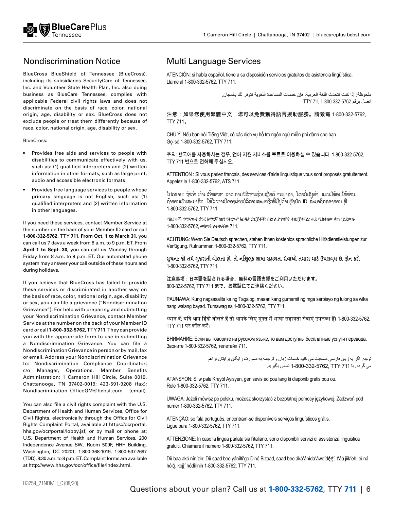

#### Nondiscrimination Notice Multi Language Services

including its subsidiaries SecurityCare of Tennessee, Llame al 1-800-332-5762, TTY 711. Inc. and Volunteer State Health Plan, Inc. also doing business as BlueCare Tennessee, complies with applicable Federal civil rights laws and does not discriminate on the basis of race, color, national origin, age, disability or sex. BlueCross does not exclude people or treat them differently because of race, color, national origin, age, disability or sex.

BlueCross:

- Provides free aids and services to people with disabilities to communicate effectively with us, such as: (1) qualified interpreters and (2) written information in other formats, such as large print, audio and accessible electronic formats.
- Provides free language services to people whose primary language is not English, such as: (1) qualifed interpreters and (2) written information in other languages.

If you need these services, contact Member Service at the number on the back of your Member ID card or call **1-800-332-5762**, TTY **711**. **From Oct. 1 to March 31**, you can call us 7 days a week from 8 a.m. to 9 p.m. ET. From **April 1 to Sept. 30**, you can call us Monday through Friday from 8 a.m. to 9 p.m. ET. Our automated phone system may answer your call outside of these hours and during holidays.

If you believe that BlueCross has failed to provide these services or discriminated in another way on the basis of race, color, national origin, age, disability or sex, you can fle a grievance ("Nondiscrimination Grievance"). For help with preparing and submitting your Nondiscrimination Grievance, contact Member Service at the number on the back of your Member ID card or call **1-800-332-5762,** TTY **711**. They can provide you with the appropriate form to use in submitting a Nondiscrimination Grievance. You can fle a Nondiscrimination Grievance in person or by mail, fax or email. Address your Nondiscrimination Grievance to: Nondiscrimination Compliance Coordinator; c/o Manager, Operations, Member Benefits Administration; 1 Cameron Hill Circle, Suite 0019, Chattanooga, TN 37402-0019; 423-591-9208 (fax); Nondiscrimination\_OfficeGM@bcbst.com (email).

You can also file a civil rights complaint with the U.S. Department of Health and Human Services, Office for Civil Rights, electronically through the Office for Civil Rights Complaint Portal, available at [https://ocrportal](https://ocrportal.hhs.gov/ocr/portal/lobby.jsf). [hhs.gov/ocr/portal/lobby.jsf,](https://ocrportal.hhs.gov/ocr/portal/lobby.jsf) or by mail or phone at: U.S. Department of Health and Human Services, 200 Independence Avenue SW., Room 509F, HHH Building, Washington, DC 20201, 1-800-368-1019, 1-800-537-7697 (TDD), 8:30 a.m. to 8 p.m. ET. Complaint forms are available at http://www.hhs.gov/ocr/office/file/index.html.

BlueCross BlueShield of Tennessee (BlueCross), ATENCIÓN: si habla español, tiene a su disposición servicios gratuitos de asistencia lingüística.

ملحوظة: إذا كنت تتحدث اللغة العربية، فإن خدمات المساعدة اللغوية تتوفر لك بالمجان. اتصل برقم 1-800-332-5762 711, TTY.

注意:如果您使用繁體中文,您可以免費獲得語言援助服務。請致電 1-800-332-5762, TTY 711。

CHÚ Ý: Nếu bạn nói Tiếng Việt, có các dịch vụ hỗ trợ ngôn ngữ miễn phí dành cho bạn. Gọi số 1-800-332-5762, TTY 711.

주의: 한국어를 사용하시는 경우, 언어 지원 서비스를 무료로 이용하실 수 있습니다. 1-800-332-5762, TTY 711 번으로 전화해 주십시오.

ATTENTION : Si vous parlez français, des services d'aide linguistique vous sont proposés gratuitement. Appelez le 1-800-332-5762, ATS 711.

î ຖາທານເປັນສະມາຊິກ, ໄຫໄທຫາເບື້ຂອງຝ່າຍບລິການສະມາຊິກທີ່ມີຢູ່ດານຫຼັງບົດ ID ສະມາຊິກຂອງທານ ຫຼື ່ ເປດຊາບ: ຖາວາ ທານເວາພາສາ ລາວ,ການບລິການຊວຍເຫຼືອດ ານພາສາ, ໂດຍບເສັງຄາ, ແມ່ນມີພອມໄຫທານ. 1-800-332-5762, TTY 711.

ማስታወሻ: የሚናገሩት ቋንቋ ኣማርኛ ከሆነ የትርጉም እርዳታ ድርጅቶች፣ በነጻ ሊያግዝዎት ተዘጋጀተዋል፡ ወደ ሚከተለው ቁጥር ይደውሉ 1-800-332-5762, መስማት ለተሳናቸው 711.

ACHTUNG: Wenn Sie Deutsch sprechen, stehen Ihnen kostenlos sprachliche Hilfsdienstleistungen zur Verfügung. Rufnummer: 1-800-332-5762, TTY 711.

**સૂચના: જો તમે ગુજરાતી બોલતા હો, તો નિ:શુલ્ક ભાષા સહાયતા સેવાઓ તમારા માટે ઉપલબ્ધ છે. ફોન કરો** 1-800-332-5762, TTY 711

注意事項:日本語を話される場合、無料の言語支援をご利用いただけます。 800-332-5762, TTY 711 まで、お電話にてご連絡ください。

PAUNAWA: Kung nagsasalita ka ng Tagalog, maaari kang gumamit ng mga serbisyo ng tulong sa wika nang walang bayad. Tumawag sa 1-800-332-5762, TTY 711.

ध्यान दें: यदि आप हिंदी बोलते हैं तो आपके लिए मुफ्त में भाषा सहायता सेवाएं उपलब्ध हैं। 1-800-332-5762, TTY 711 पर कॉल करें।

ВНИМАНИЕ: Если вы говорите на русском языке, то вам доступны бесплатные услуги перевода. Звоните 1-800-332-5762, телетайп 711.

> توجه: اگر به زبان فارسی صحبت می کنيد خدمات زبان و ترجمه به صورت ر ايگان بر ايتان فر اهم مي گر دد. با 711 TJP 752-5762. TTY تماس بگير بد.

ATANSYON: Si w pale Kreyòl Ayisyen, gen sèvis èd pou lang ki disponib gratis pou ou. Rele 1-800-332-5762, TTY 711.

UWAGA: Jeżeli mówisz po polsku, możesz skorzystać z bezpłatnej pomocy językowej. Zadzwoń pod numer 1-800-332-5762, TTY 711.

ATENÇÃO: se fala português, encontram-se disponíveis serviços linguísticos grátis. Ligue para 1-800-332-5762, TTY 711.

ATTENZIONE: In caso la lingua parlata sia l'italiano, sono disponibili servizi di assistenza linguistica gratuiti. Chiamare il numero 1-800-332-5762, TTY 711.

Díí baa akó nínízin: Díí saad bee yáníłti'go Diné Bizaad, saad bee áká'ánída'áwo'déé', t'áá jiik'eh, éí ná hóló, koji' hódíílnih 1-800-332-5762, TTY 711.